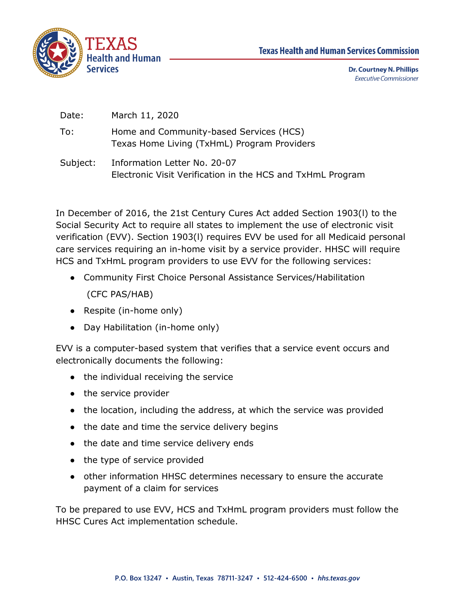



**Dr. Courtney N. Phillips Executive Commissioner** 

| Date:    | March 11, 2020                                                                             |
|----------|--------------------------------------------------------------------------------------------|
| To:      | Home and Community-based Services (HCS)<br>Texas Home Living (TxHmL) Program Providers     |
| Subject: | Information Letter No. 20-07<br>Electronic Visit Verification in the HCS and TxHmL Program |

In December of 2016, the 21st Century Cures Act added Section 1903(l) to the Social Security Act to require all states to implement the use of electronic visit verification (EVV). Section 1903(l) requires EVV be used for all Medicaid personal care services requiring an in-home visit by a service provider. HHSC will require HCS and TxHmL program providers to use EVV for the following services:

- Community First Choice Personal Assistance Services/Habilitation
	- (CFC PAS/HAB)
- Respite (in-home only)
- Day Habilitation (in-home only)

EVV is a computer-based system that verifies that a service event occurs and electronically documents the following:

- the individual receiving the service
- the service provider
- the location, including the address, at which the service was provided
- the date and time the service delivery begins
- the date and time service delivery ends
- the type of service provided
- other information HHSC determines necessary to ensure the accurate payment of a claim for services

To be prepared to use EVV, HCS and TxHmL program providers must follow the HHSC Cures Act implementation schedule.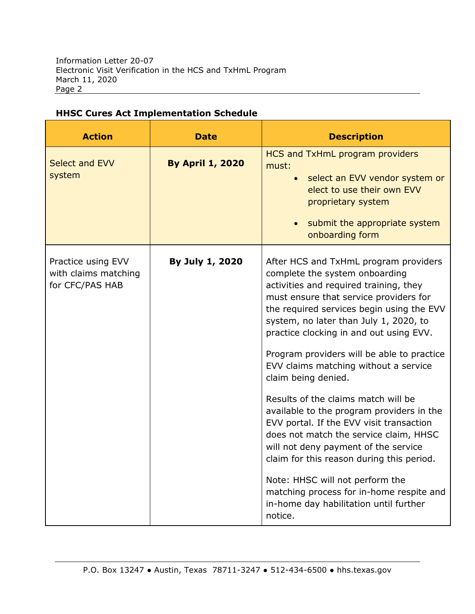| <b>Action</b>                                                 | <b>Date</b>             | <b>Description</b>                                                                                                                                                                                                                                                                                                                                                                                                                                                                                                                                                                                                                                                                                                                                                                                             |
|---------------------------------------------------------------|-------------------------|----------------------------------------------------------------------------------------------------------------------------------------------------------------------------------------------------------------------------------------------------------------------------------------------------------------------------------------------------------------------------------------------------------------------------------------------------------------------------------------------------------------------------------------------------------------------------------------------------------------------------------------------------------------------------------------------------------------------------------------------------------------------------------------------------------------|
| Select and EVV<br>system                                      | <b>By April 1, 2020</b> | HCS and TxHmL program providers<br>must:<br>select an EVV vendor system or<br>$\bullet$<br>elect to use their own EVV<br>proprietary system<br>submit the appropriate system<br>onboarding form                                                                                                                                                                                                                                                                                                                                                                                                                                                                                                                                                                                                                |
| Practice using EVV<br>with claims matching<br>for CFC/PAS HAB | By July 1, 2020         | After HCS and TxHmL program providers<br>complete the system onboarding<br>activities and required training, they<br>must ensure that service providers for<br>the required services begin using the EVV<br>system, no later than July 1, 2020, to<br>practice clocking in and out using EVV.<br>Program providers will be able to practice<br>EVV claims matching without a service<br>claim being denied.<br>Results of the claims match will be<br>available to the program providers in the<br>EVV portal. If the EVV visit transaction<br>does not match the service claim, HHSC<br>will not deny payment of the service<br>claim for this reason during this period.<br>Note: HHSC will not perform the<br>matching process for in-home respite and<br>in-home day habilitation until further<br>notice. |

#### **HHSC Cures Act Implementation Schedule**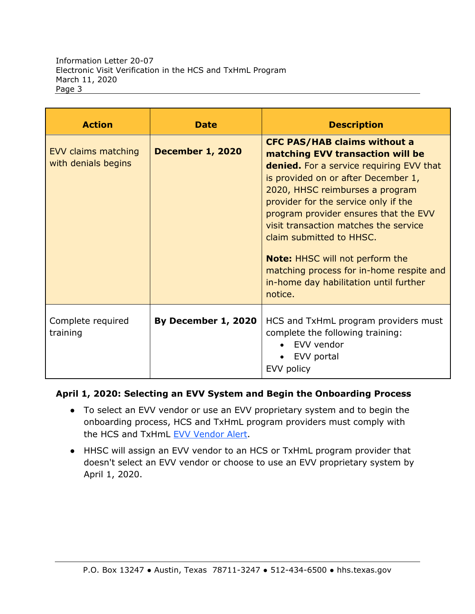| <b>Action</b>                              | <b>Date</b>             | <b>Description</b>                                                                                                                                                                                                                                                                                                                                                                                                                                                                                    |
|--------------------------------------------|-------------------------|-------------------------------------------------------------------------------------------------------------------------------------------------------------------------------------------------------------------------------------------------------------------------------------------------------------------------------------------------------------------------------------------------------------------------------------------------------------------------------------------------------|
| EVV claims matching<br>with denials begins | <b>December 1, 2020</b> | <b>CFC PAS/HAB claims without a</b><br>matching EVV transaction will be<br><b>denied.</b> For a service requiring EVV that<br>is provided on or after December 1,<br>2020, HHSC reimburses a program<br>provider for the service only if the<br>program provider ensures that the EVV<br>visit transaction matches the service<br>claim submitted to HHSC.<br><b>Note:</b> HHSC will not perform the<br>matching process for in-home respite and<br>in-home day habilitation until further<br>notice. |
| Complete required<br>training              | By December 1, 2020     | HCS and TxHmL program providers must<br>complete the following training:<br>EVV vendor<br>EVV portal<br>EVV policy                                                                                                                                                                                                                                                                                                                                                                                    |

#### **April 1, 2020: Selecting an EVV System and Begin the Onboarding Process**

- To select an EVV vendor or use an EVV proprietary system and to begin the onboarding process, HCS and TxHmL program providers must comply with the HCS and TxHmL [EVV Vendor Alert.](https://hhs.texas.gov/about-hhs/communications-events/news/2020/02/due-april-1-select-evv-vendor-system-or-evv-proprietary-system)
- HHSC will assign an EVV vendor to an HCS or TxHmL program provider that doesn't select an EVV vendor or choose to use an EVV proprietary system by April 1, 2020.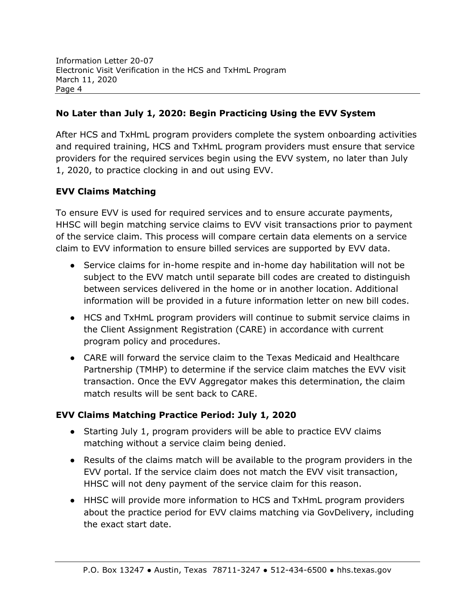## **No Later than July 1, 2020: Begin Practicing Using the EVV System**

After HCS and TxHmL program providers complete the system onboarding activities and required training, HCS and TxHmL program providers must ensure that service providers for the required services begin using the EVV system, no later than July 1, 2020, to practice clocking in and out using EVV.

# **EVV Claims Matching**

To ensure EVV is used for required services and to ensure accurate payments, HHSC will begin matching service claims to EVV visit transactions prior to payment of the service claim. This process will compare certain data elements on a service claim to EVV information to ensure billed services are supported by EVV data.

- Service claims for in-home respite and in-home day habilitation will not be subject to the EVV match until separate bill codes are created to distinguish between services delivered in the home or in another location. Additional information will be provided in a future information letter on new bill codes.
- HCS and TxHmL program providers will continue to submit service claims in the Client Assignment Registration (CARE) in accordance with current program policy and procedures.
- CARE will forward the service claim to the Texas Medicaid and Healthcare Partnership (TMHP) to determine if the service claim matches the EVV visit transaction. Once the EVV Aggregator makes this determination, the claim match results will be sent back to CARE.

## **EVV Claims Matching Practice Period: July 1, 2020**

- Starting July 1, program providers will be able to practice EVV claims matching without a service claim being denied.
- Results of the claims match will be available to the program providers in the EVV portal. If the service claim does not match the EVV visit transaction, HHSC will not deny payment of the service claim for this reason.
- HHSC will provide more information to HCS and TxHmL program providers about the practice period for EVV claims matching via GovDelivery, including the exact start date.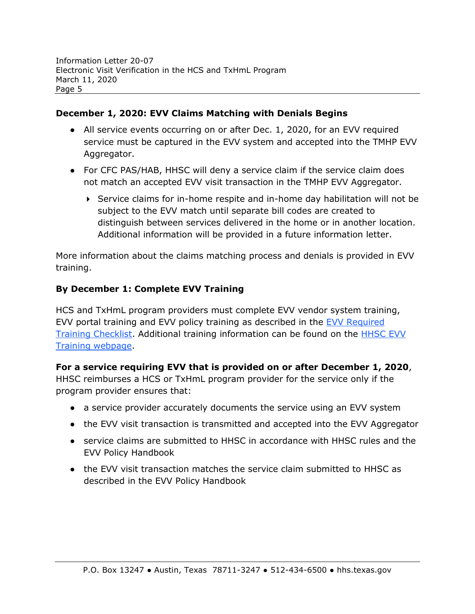#### **December 1, 2020: EVV Claims Matching with Denials Begins**

- All service events occurring on or after Dec. 1, 2020, for an EVV required service must be captured in the EVV system and accepted into the TMHP EVV Aggregator.
- For CFC PAS/HAB, HHSC will deny a service claim if the service claim does not match an accepted EVV visit transaction in the TMHP EVV Aggregator.
	- Service claims for in-home respite and in-home day habilitation will not be subject to the EVV match until separate bill codes are created to distinguish between services delivered in the home or in another location. Additional information will be provided in a future information letter.

More information about the claims matching process and denials is provided in EVV training.

## **By December 1: Complete EVV Training**

HCS and TxHmL program providers must complete EVV vendor system training, EVV portal training and EVV policy training as described in the [EVV Required](https://hhs.texas.gov/sites/default/files/documents/doing-business-with-hhs/providers/long-term-care/evv/evv-required-training-checklist.pdf)  [Training Checklist.](https://hhs.texas.gov/sites/default/files/documents/doing-business-with-hhs/providers/long-term-care/evv/evv-required-training-checklist.pdf) Additional training information can be found on the [HHSC EVV](https://hhs.texas.gov/doing-business-hhs/provider-portals/long-term-care-providers/resources/electronic-visit-verification/training-materials-resources)  [Training webpage.](https://hhs.texas.gov/doing-business-hhs/provider-portals/long-term-care-providers/resources/electronic-visit-verification/training-materials-resources)

# **For a service requiring EVV that is provided on or after December 1, 2020**,

HHSC reimburses a HCS or TxHmL program provider for the service only if the program provider ensures that:

- a service provider accurately documents the service using an EVV system
- the EVV visit transaction is transmitted and accepted into the EVV Aggregator
- service claims are submitted to HHSC in accordance with HHSC rules and the EVV Policy Handbook
- the EVV visit transaction matches the service claim submitted to HHSC as described in the EVV Policy Handbook